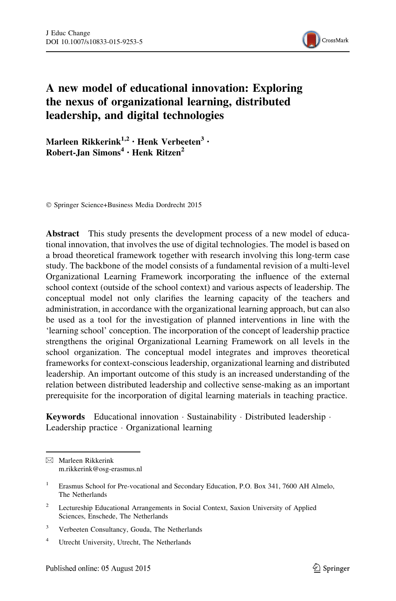

# A new model of educational innovation: Exploring the nexus of organizational learning, distributed leadership, and digital technologies

Marleen Rikkerink<sup>1,2</sup> · Henk Verbeeten<sup>3</sup> ·  $Robert$ -Jan Simons<sup>4</sup> · Henk Ritzen<sup>2</sup>

- Springer Science+Business Media Dordrecht 2015

Abstract This study presents the development process of a new model of educational innovation, that involves the use of digital technologies. The model is based on a broad theoretical framework together with research involving this long-term case study. The backbone of the model consists of a fundamental revision of a multi-level Organizational Learning Framework incorporating the influence of the external school context (outside of the school context) and various aspects of leadership. The conceptual model not only clarifies the learning capacity of the teachers and administration, in accordance with the organizational learning approach, but can also be used as a tool for the investigation of planned interventions in line with the 'learning school' conception. The incorporation of the concept of leadership practice strengthens the original Organizational Learning Framework on all levels in the school organization. The conceptual model integrates and improves theoretical frameworks for context-conscious leadership, organizational learning and distributed leadership. An important outcome of this study is an increased understanding of the relation between distributed leadership and collective sense-making as an important prerequisite for the incorporation of digital learning materials in teaching practice.

Keywords Educational innovation · Sustainability · Distributed leadership · Leadership practice - Organizational learning

 $\boxtimes$  Marleen Rikkerink m.rikkerink@osg-erasmus.nl

<sup>&</sup>lt;sup>1</sup> Erasmus School for Pre-vocational and Secondary Education, P.O. Box 341, 7600 AH Almelo, The Netherlands

<sup>&</sup>lt;sup>2</sup> Lectureship Educational Arrangements in Social Context, Saxion University of Applied Sciences, Enschede, The Netherlands

<sup>&</sup>lt;sup>3</sup> Verbeeten Consultancy, Gouda, The Netherlands

<sup>4</sup> Utrecht University, Utrecht, The Netherlands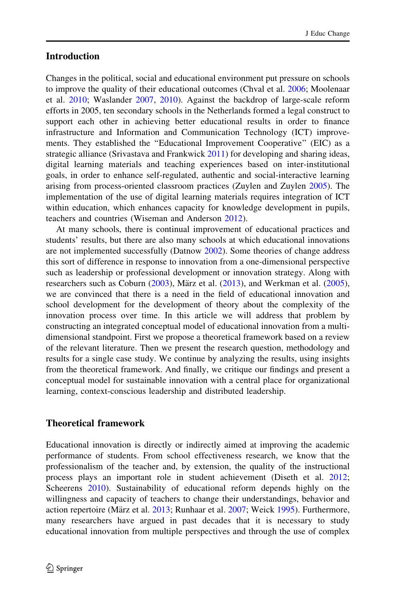#### <span id="page-1-0"></span>Introduction

Changes in the political, social and educational environment put pressure on schools to improve the quality of their educational outcomes (Chval et al. [2006](#page-23-0); Moolenaar et al. [2010;](#page-24-0) Waslander [2007,](#page-25-0) [2010](#page-25-0)). Against the backdrop of large-scale reform efforts in 2005, ten secondary schools in the Netherlands formed a legal construct to support each other in achieving better educational results in order to finance infrastructure and Information and Communication Technology (ICT) improvements. They established the ''Educational Improvement Cooperative'' (EIC) as a strategic alliance (Srivastava and Frankwick [2011](#page-25-0)) for developing and sharing ideas, digital learning materials and teaching experiences based on inter-institutional goals, in order to enhance self-regulated, authentic and social-interactive learning arising from process-oriented classroom practices (Zuylen and Zuylen [2005](#page-26-0)). The implementation of the use of digital learning materials requires integration of ICT within education, which enhances capacity for knowledge development in pupils, teachers and countries (Wiseman and Anderson [2012](#page-26-0)).

At many schools, there is continual improvement of educational practices and students' results, but there are also many schools at which educational innovations are not implemented successfully (Datnow [2002\)](#page-23-0). Some theories of change address this sort of difference in response to innovation from a one-dimensional perspective such as leadership or professional development or innovation strategy. Along with researchers such as Coburn  $(2003)$ , März et al.  $(2013)$  $(2013)$ , and Werkman et al.  $(2005)$  $(2005)$ , we are convinced that there is a need in the field of educational innovation and school development for the development of theory about the complexity of the innovation process over time. In this article we will address that problem by constructing an integrated conceptual model of educational innovation from a multidimensional standpoint. First we propose a theoretical framework based on a review of the relevant literature. Then we present the research question, methodology and results for a single case study. We continue by analyzing the results, using insights from the theoretical framework. And finally, we critique our findings and present a conceptual model for sustainable innovation with a central place for organizational learning, context-conscious leadership and distributed leadership.

# Theoretical framework

Educational innovation is directly or indirectly aimed at improving the academic performance of students. From school effectiveness research, we know that the professionalism of the teacher and, by extension, the quality of the instructional process plays an important role in student achievement (Diseth et al. [2012;](#page-23-0) Scheerens [2010](#page-25-0)). Sustainability of educational reform depends highly on the willingness and capacity of teachers to change their understandings, behavior and action repertoire (März et al. [2013](#page-24-0); Runhaar et al. [2007](#page-25-0); Weick [1995](#page-26-0)). Furthermore, many researchers have argued in past decades that it is necessary to study educational innovation from multiple perspectives and through the use of complex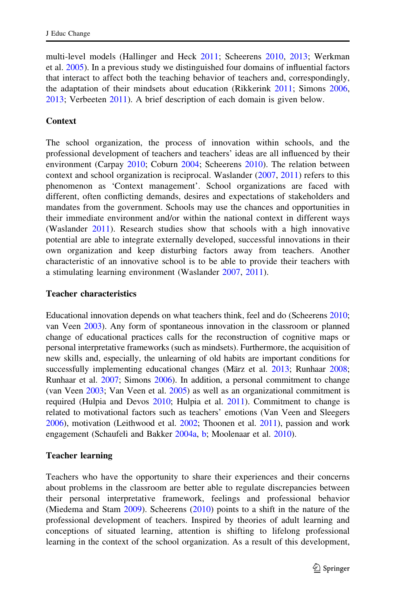multi-level models (Hallinger and Heck [2011;](#page-24-0) Scheerens [2010,](#page-25-0) [2013;](#page-25-0) Werkman et al. [2005](#page-26-0)). In a previous study we distinguished four domains of influential factors that interact to affect both the teaching behavior of teachers and, correspondingly, the adaptation of their mindsets about education (Rikkerink [2011;](#page-24-0) Simons [2006,](#page-25-0) [2013;](#page-25-0) Verbeeten [2011\)](#page-25-0). A brief description of each domain is given below.

#### Context

The school organization, the process of innovation within schools, and the professional development of teachers and teachers' ideas are all influenced by their environment (Carpay [2010](#page-23-0); Coburn [2004](#page-23-0); Scheerens [2010\)](#page-25-0). The relation between context and school organization is reciprocal. Waslander [\(2007](#page-25-0), [2011\)](#page-26-0) refers to this phenomenon as 'Context management'. School organizations are faced with different, often conflicting demands, desires and expectations of stakeholders and mandates from the government. Schools may use the chances and opportunities in their immediate environment and/or within the national context in different ways (Waslander [2011](#page-26-0)). Research studies show that schools with a high innovative potential are able to integrate externally developed, successful innovations in their own organization and keep disturbing factors away from teachers. Another characteristic of an innovative school is to be able to provide their teachers with a stimulating learning environment (Waslander [2007,](#page-25-0) [2011\)](#page-26-0).

#### Teacher characteristics

Educational innovation depends on what teachers think, feel and do (Scheerens [2010;](#page-25-0) van Veen [2003\)](#page-25-0). Any form of spontaneous innovation in the classroom or planned change of educational practices calls for the reconstruction of cognitive maps or personal interpretative frameworks (such as mindsets). Furthermore, the acquisition of new skills and, especially, the unlearning of old habits are important conditions for successfully implementing educational changes (März et al. [2013](#page-24-0); Runhaar [2008;](#page-25-0) Runhaar et al. [2007;](#page-25-0) Simons [2006\)](#page-25-0). In addition, a personal commitment to change (van Veen [2003](#page-25-0); Van Veen et al. [2005](#page-25-0)) as well as an organizational commitment is required (Hulpia and Devos [2010](#page-24-0); Hulpia et al. [2011\)](#page-24-0). Commitment to change is related to motivational factors such as teachers' emotions (Van Veen and Sleegers [2006\)](#page-25-0), motivation (Leithwood et al. [2002](#page-24-0); Thoonen et al. [2011\)](#page-25-0), passion and work engagement (Schaufeli and Bakker [2004a](#page-25-0), [b;](#page-25-0) Moolenaar et al. [2010\)](#page-24-0).

#### Teacher learning

Teachers who have the opportunity to share their experiences and their concerns about problems in the classroom are better able to regulate discrepancies between their personal interpretative framework, feelings and professional behavior (Miedema and Stam [2009](#page-24-0)). Scheerens [\(2010\)](#page-25-0) points to a shift in the nature of the professional development of teachers. Inspired by theories of adult learning and conceptions of situated learning, attention is shifting to lifelong professional learning in the context of the school organization. As a result of this development,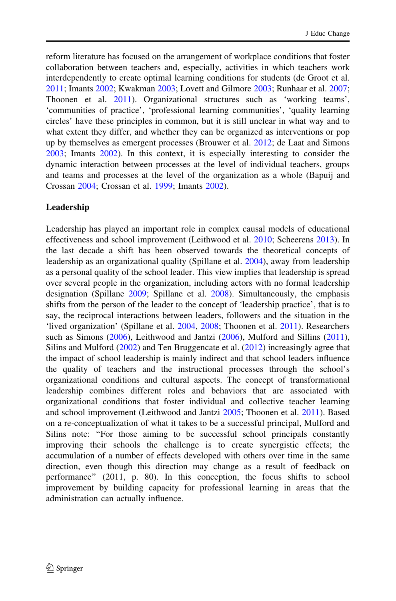reform literature has focused on the arrangement of workplace conditions that foster collaboration between teachers and, especially, activities in which teachers work interdependently to create optimal learning conditions for students (de Groot et al. [2011;](#page-23-0) Imants [2002](#page-24-0); Kwakman [2003;](#page-24-0) Lovett and Gilmore [2003;](#page-24-0) Runhaar et al. [2007;](#page-25-0) Thoonen et al. [2011](#page-25-0)). Organizational structures such as 'working teams', 'communities of practice', 'professional learning communities', 'quality learning circles' have these principles in common, but it is still unclear in what way and to what extent they differ, and whether they can be organized as interventions or pop up by themselves as emergent processes (Brouwer et al. [2012;](#page-23-0) de Laat and Simons [2003;](#page-23-0) Imants [2002\)](#page-24-0). In this context, it is especially interesting to consider the dynamic interaction between processes at the level of individual teachers, groups and teams and processes at the level of the organization as a whole (Bapuij and Crossan [2004](#page-23-0); Crossan et al. [1999;](#page-23-0) Imants [2002](#page-24-0)).

# Leadership

Leadership has played an important role in complex causal models of educational effectiveness and school improvement (Leithwood et al. [2010;](#page-24-0) Scheerens [2013](#page-25-0)). In the last decade a shift has been observed towards the theoretical concepts of leadership as an organizational quality (Spillane et al. [2004\)](#page-25-0), away from leadership as a personal quality of the school leader. This view implies that leadership is spread over several people in the organization, including actors with no formal leadership designation (Spillane [2009;](#page-25-0) Spillane et al. [2008](#page-25-0)). Simultaneously, the emphasis shifts from the person of the leader to the concept of 'leadership practice', that is to say, the reciprocal interactions between leaders, followers and the situation in the 'lived organization' (Spillane et al. [2004](#page-25-0), [2008;](#page-25-0) Thoonen et al. [2011\)](#page-25-0). Researchers such as Simons ([2006\)](#page-25-0), Leithwood and Jantzi ([2006\)](#page-24-0), Mulford and Sillins ([2011\)](#page-24-0), Silins and Mulford [\(2002](#page-25-0)) and Ten Bruggencate et al. ([2012\)](#page-25-0) increasingly agree that the impact of school leadership is mainly indirect and that school leaders influence the quality of teachers and the instructional processes through the school's organizational conditions and cultural aspects. The concept of transformational leadership combines different roles and behaviors that are associated with organizational conditions that foster individual and collective teacher learning and school improvement (Leithwood and Jantzi [2005;](#page-24-0) Thoonen et al. [2011](#page-25-0)). Based on a re-conceptualization of what it takes to be a successful principal, Mulford and Silins note: "For those aiming to be successful school principals constantly improving their schools the challenge is to create synergistic effects; the accumulation of a number of effects developed with others over time in the same direction, even though this direction may change as a result of feedback on performance'' (2011, p. 80). In this conception, the focus shifts to school improvement by building capacity for professional learning in areas that the administration can actually influence.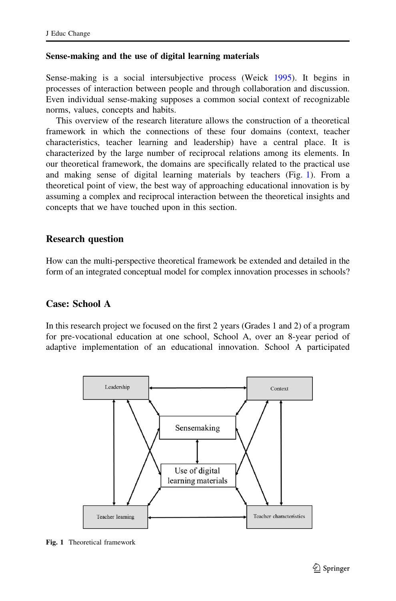#### <span id="page-4-0"></span>Sense-making and the use of digital learning materials

Sense-making is a social intersubjective process (Weick [1995\)](#page-26-0). It begins in processes of interaction between people and through collaboration and discussion. Even individual sense-making supposes a common social context of recognizable norms, values, concepts and habits.

This overview of the research literature allows the construction of a theoretical framework in which the connections of these four domains (context, teacher characteristics, teacher learning and leadership) have a central place. It is characterized by the large number of reciprocal relations among its elements. In our theoretical framework, the domains are specifically related to the practical use and making sense of digital learning materials by teachers (Fig. 1). From a theoretical point of view, the best way of approaching educational innovation is by assuming a complex and reciprocal interaction between the theoretical insights and concepts that we have touched upon in this section.

#### Research question

How can the multi-perspective theoretical framework be extended and detailed in the form of an integrated conceptual model for complex innovation processes in schools?

# Case: School A

In this research project we focused on the first 2 years (Grades 1 and 2) of a program for pre-vocational education at one school, School A, over an 8-year period of adaptive implementation of an educational innovation. School A participated



Fig. 1 Theoretical framework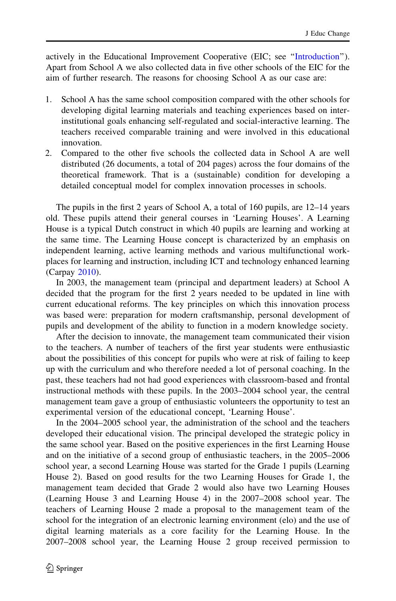actively in the Educational Improvement Cooperative (EIC; see ''[Introduction](#page-1-0)''). Apart from School A we also collected data in five other schools of the EIC for the aim of further research. The reasons for choosing School A as our case are:

- 1. School A has the same school composition compared with the other schools for developing digital learning materials and teaching experiences based on interinstitutional goals enhancing self-regulated and social-interactive learning. The teachers received comparable training and were involved in this educational innovation.
- 2. Compared to the other five schools the collected data in School A are well distributed (26 documents, a total of 204 pages) across the four domains of the theoretical framework. That is a (sustainable) condition for developing a detailed conceptual model for complex innovation processes in schools.

The pupils in the first 2 years of School A, a total of 160 pupils, are 12–14 years old. These pupils attend their general courses in 'Learning Houses'. A Learning House is a typical Dutch construct in which 40 pupils are learning and working at the same time. The Learning House concept is characterized by an emphasis on independent learning, active learning methods and various multifunctional workplaces for learning and instruction, including ICT and technology enhanced learning (Carpay [2010\)](#page-23-0).

In 2003, the management team (principal and department leaders) at School A decided that the program for the first 2 years needed to be updated in line with current educational reforms. The key principles on which this innovation process was based were: preparation for modern craftsmanship, personal development of pupils and development of the ability to function in a modern knowledge society.

After the decision to innovate, the management team communicated their vision to the teachers. A number of teachers of the first year students were enthusiastic about the possibilities of this concept for pupils who were at risk of failing to keep up with the curriculum and who therefore needed a lot of personal coaching. In the past, these teachers had not had good experiences with classroom-based and frontal instructional methods with these pupils. In the 2003–2004 school year, the central management team gave a group of enthusiastic volunteers the opportunity to test an experimental version of the educational concept, 'Learning House'.

In the 2004–2005 school year, the administration of the school and the teachers developed their educational vision. The principal developed the strategic policy in the same school year. Based on the positive experiences in the first Learning House and on the initiative of a second group of enthusiastic teachers, in the 2005–2006 school year, a second Learning House was started for the Grade 1 pupils (Learning House 2). Based on good results for the two Learning Houses for Grade 1, the management team decided that Grade 2 would also have two Learning Houses (Learning House 3 and Learning House 4) in the 2007–2008 school year. The teachers of Learning House 2 made a proposal to the management team of the school for the integration of an electronic learning environment (elo) and the use of digital learning materials as a core facility for the Learning House. In the 2007–2008 school year, the Learning House 2 group received permission to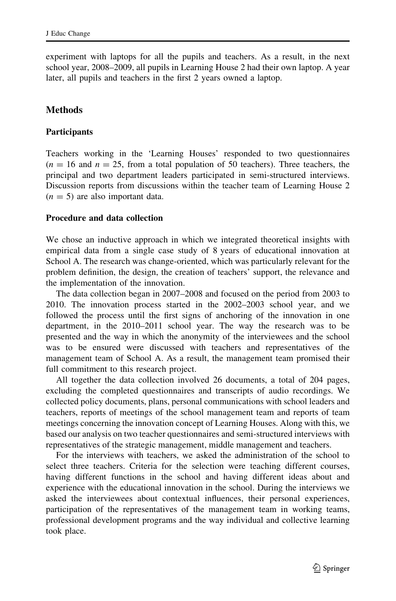experiment with laptops for all the pupils and teachers. As a result, in the next school year, 2008–2009, all pupils in Learning House 2 had their own laptop. A year later, all pupils and teachers in the first 2 years owned a laptop.

#### **Methods**

#### **Participants**

Teachers working in the 'Learning Houses' responded to two questionnaires  $(n = 16$  and  $n = 25$ , from a total population of 50 teachers). Three teachers, the principal and two department leaders participated in semi-structured interviews. Discussion reports from discussions within the teacher team of Learning House 2  $(n = 5)$  are also important data.

#### Procedure and data collection

We chose an inductive approach in which we integrated theoretical insights with empirical data from a single case study of 8 years of educational innovation at School A. The research was change-oriented, which was particularly relevant for the problem definition, the design, the creation of teachers' support, the relevance and the implementation of the innovation.

The data collection began in 2007–2008 and focused on the period from 2003 to 2010. The innovation process started in the 2002–2003 school year, and we followed the process until the first signs of anchoring of the innovation in one department, in the 2010–2011 school year. The way the research was to be presented and the way in which the anonymity of the interviewees and the school was to be ensured were discussed with teachers and representatives of the management team of School A. As a result, the management team promised their full commitment to this research project.

All together the data collection involved 26 documents, a total of 204 pages, excluding the completed questionnaires and transcripts of audio recordings. We collected policy documents, plans, personal communications with school leaders and teachers, reports of meetings of the school management team and reports of team meetings concerning the innovation concept of Learning Houses. Along with this, we based our analysis on two teacher questionnaires and semi-structured interviews with representatives of the strategic management, middle management and teachers.

For the interviews with teachers, we asked the administration of the school to select three teachers. Criteria for the selection were teaching different courses, having different functions in the school and having different ideas about and experience with the educational innovation in the school. During the interviews we asked the interviewees about contextual influences, their personal experiences, participation of the representatives of the management team in working teams, professional development programs and the way individual and collective learning took place.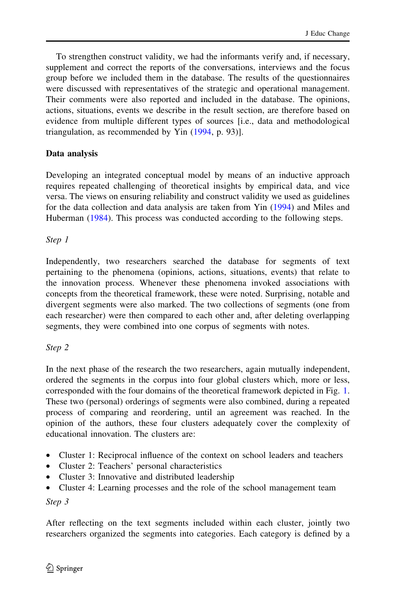To strengthen construct validity, we had the informants verify and, if necessary, supplement and correct the reports of the conversations, interviews and the focus group before we included them in the database. The results of the questionnaires were discussed with representatives of the strategic and operational management. Their comments were also reported and included in the database. The opinions, actions, situations, events we describe in the result section, are therefore based on evidence from multiple different types of sources [i.e., data and methodological triangulation, as recommended by Yin ([1994,](#page-26-0) p. 93)].

# Data analysis

Developing an integrated conceptual model by means of an inductive approach requires repeated challenging of theoretical insights by empirical data, and vice versa. The views on ensuring reliability and construct validity we used as guidelines for the data collection and data analysis are taken from Yin [\(1994](#page-26-0)) and Miles and Huberman ([1984\)](#page-24-0). This process was conducted according to the following steps.

Step 1

Independently, two researchers searched the database for segments of text pertaining to the phenomena (opinions, actions, situations, events) that relate to the innovation process. Whenever these phenomena invoked associations with concepts from the theoretical framework, these were noted. Surprising, notable and divergent segments were also marked. The two collections of segments (one from each researcher) were then compared to each other and, after deleting overlapping segments, they were combined into one corpus of segments with notes.

# Step 2

In the next phase of the research the two researchers, again mutually independent, ordered the segments in the corpus into four global clusters which, more or less, corresponded with the four domains of the theoretical framework depicted in Fig. [1.](#page-4-0) These two (personal) orderings of segments were also combined, during a repeated process of comparing and reordering, until an agreement was reached. In the opinion of the authors, these four clusters adequately cover the complexity of educational innovation. The clusters are:

- Cluster 1: Reciprocal influence of the context on school leaders and teachers
- Cluster 2: Teachers' personal characteristics
- Cluster 3: Innovative and distributed leadership
- Cluster 4: Learning processes and the role of the school management team

Step 3

After reflecting on the text segments included within each cluster, jointly two researchers organized the segments into categories. Each category is defined by a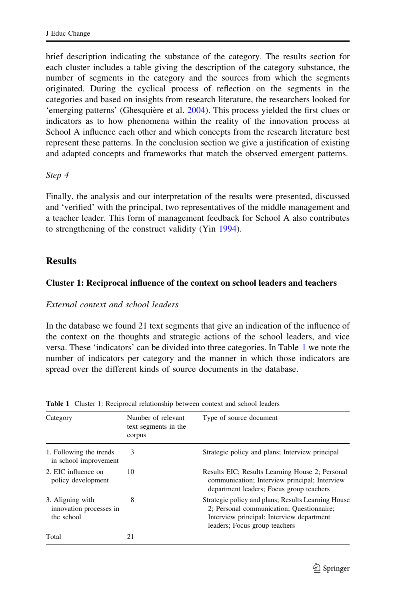<span id="page-8-0"></span>brief description indicating the substance of the category. The results section for each cluster includes a table giving the description of the category substance, the number of segments in the category and the sources from which the segments originated. During the cyclical process of reflection on the segments in the categories and based on insights from research literature, the researchers looked for 'emerging patterns' (Ghesquière et al. [2004\)](#page-24-0). This process yielded the first clues or indicators as to how phenomena within the reality of the innovation process at School A influence each other and which concepts from the research literature best represent these patterns. In the conclusion section we give a justification of existing and adapted concepts and frameworks that match the observed emergent patterns.

#### Step 4

Finally, the analysis and our interpretation of the results were presented, discussed and 'verified' with the principal, two representatives of the middle management and a teacher leader. This form of management feedback for School A also contributes to strengthening of the construct validity (Yin [1994\)](#page-26-0).

# **Results**

#### Cluster 1: Reciprocal influence of the context on school leaders and teachers

#### External context and school leaders

In the database we found 21 text segments that give an indication of the influence of the context on the thoughts and strategic actions of the school leaders, and vice versa. These 'indicators' can be divided into three categories. In Table 1 we note the number of indicators per category and the manner in which those indicators are spread over the different kinds of source documents in the database.

| Category                                                  | Number of relevant<br>text segments in the<br>corpus | Type of source document                                                                                                                                                       |
|-----------------------------------------------------------|------------------------------------------------------|-------------------------------------------------------------------------------------------------------------------------------------------------------------------------------|
| 1. Following the trends<br>in school improvement          | 3                                                    | Strategic policy and plans; Interview principal                                                                                                                               |
| 2. EIC influence on<br>policy development                 | 10                                                   | Results EIC; Results Learning House 2; Personal<br>communication; Interview principal; Interview<br>department leaders; Focus group teachers                                  |
| 3. Aligning with<br>innovation processes in<br>the school | 8                                                    | Strategic policy and plans; Results Learning House<br>2; Personal communication; Questionnaire;<br>Interview principal; Interview department<br>leaders; Focus group teachers |
| Total                                                     | 21                                                   |                                                                                                                                                                               |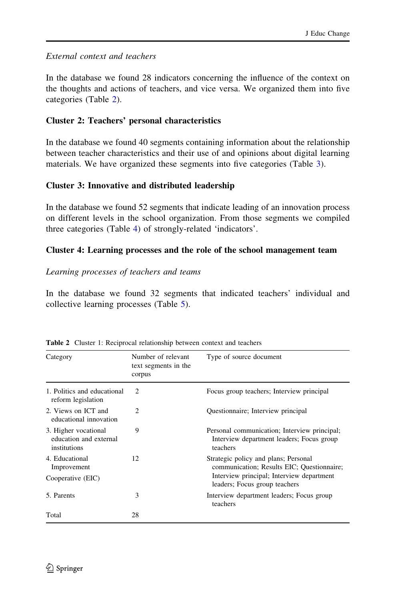#### <span id="page-9-0"></span>External context and teachers

In the database we found 28 indicators concerning the influence of the context on the thoughts and actions of teachers, and vice versa. We organized them into five categories (Table 2).

# Cluster 2: Teachers' personal characteristics

In the database we found 40 segments containing information about the relationship between teacher characteristics and their use of and opinions about digital learning materials. We have organized these segments into five categories (Table [3](#page-10-0)).

# Cluster 3: Innovative and distributed leadership

In the database we found 52 segments that indicate leading of an innovation process on different levels in the school organization. From those segments we compiled three categories (Table [4\)](#page-10-0) of strongly-related 'indicators'.

# Cluster 4: Learning processes and the role of the school management team

#### Learning processes of teachers and teams

In the database we found 32 segments that indicated teachers' individual and collective learning processes (Table [5\)](#page-11-0).

| Category                                                       | Number of relevant<br>text segments in the<br>corpus | Type of source document                                                                               |  |
|----------------------------------------------------------------|------------------------------------------------------|-------------------------------------------------------------------------------------------------------|--|
| 1. Politics and educational<br>reform legislation              | $\mathfrak{D}$                                       | Focus group teachers; Interview principal                                                             |  |
| 2. Views on ICT and<br>educational innovation                  | $\mathfrak{D}$                                       | Questionnaire; Interview principal                                                                    |  |
| 3. Higher vocational<br>education and external<br>institutions | 9                                                    | Personal communication; Interview principal;<br>Interview department leaders; Focus group<br>teachers |  |
| 4. Educational<br>Improvement                                  | 12                                                   | Strategic policy and plans; Personal<br>communication; Results EIC; Questionnaire;                    |  |
| Cooperative (EIC)                                              |                                                      | Interview principal; Interview department<br>leaders; Focus group teachers                            |  |
| 5. Parents                                                     | 3                                                    | Interview department leaders; Focus group<br>teachers                                                 |  |
| Total                                                          | 28                                                   |                                                                                                       |  |

Table 2 Cluster 1: Reciprocal relationship between context and teachers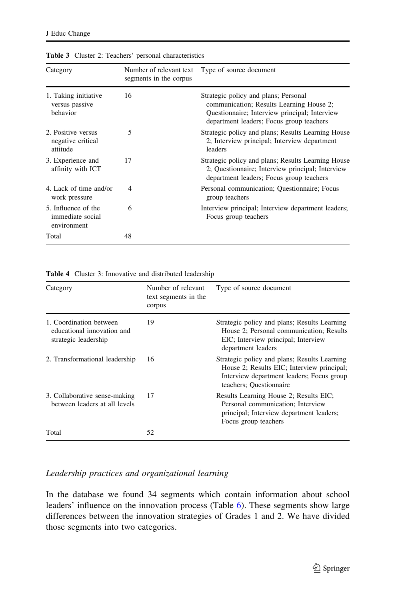| Category                                               | Number of relevant text<br>segments in the corpus | Type of source document                                                                                                                                                       |
|--------------------------------------------------------|---------------------------------------------------|-------------------------------------------------------------------------------------------------------------------------------------------------------------------------------|
| 1. Taking initiative<br>versus passive<br>behavior     | 16                                                | Strategic policy and plans; Personal<br>communication; Results Learning House 2;<br>Questionnaire; Interview principal; Interview<br>department leaders; Focus group teachers |
| 2. Positive versus<br>negative critical<br>attitude    | 5                                                 | Strategic policy and plans; Results Learning House<br>2; Interview principal; Interview department<br>leaders                                                                 |
| 3. Experience and<br>affinity with ICT                 | 17                                                | Strategic policy and plans; Results Learning House<br>2; Questionnaire; Interview principal; Interview<br>department leaders; Focus group teachers                            |
| 4. Lack of time and/or<br>work pressure                | $\overline{\mathcal{A}}$                          | Personal communication; Questionnaire; Focus<br>group teachers                                                                                                                |
| 5. Influence of the<br>immediate social<br>environment | 6                                                 | Interview principal; Interview department leaders;<br>Focus group teachers                                                                                                    |
| Total                                                  | 48                                                |                                                                                                                                                                               |

<span id="page-10-0"></span>Table 3 Cluster 2: Teachers' personal characteristics

Table 4 Cluster 3: Innovative and distributed leadership

| Category                                                                      | Number of relevant<br>text segments in the<br>corpus | Type of source document                                                                                                                                            |
|-------------------------------------------------------------------------------|------------------------------------------------------|--------------------------------------------------------------------------------------------------------------------------------------------------------------------|
| 1. Coordination between<br>educational innovation and<br>strategic leadership | 19                                                   | Strategic policy and plans; Results Learning<br>House 2; Personal communication; Results<br>EIC; Interview principal; Interview<br>department leaders              |
| 2. Transformational leadership                                                | 16                                                   | Strategic policy and plans; Results Learning<br>House 2; Results EIC; Interview principal;<br>Interview department leaders; Focus group<br>teachers; Ouestionnaire |
| 3. Collaborative sense-making<br>between leaders at all levels                | 17                                                   | Results Learning House 2; Results EIC;<br>Personal communication; Interview<br>principal; Interview department leaders;<br>Focus group teachers                    |
| Total                                                                         | 52                                                   |                                                                                                                                                                    |

#### Leadership practices and organizational learning

In the database we found 34 segments which contain information about school leaders' influence on the innovation process (Table [6\)](#page-11-0). These segments show large differences between the innovation strategies of Grades 1 and 2. We have divided those segments into two categories.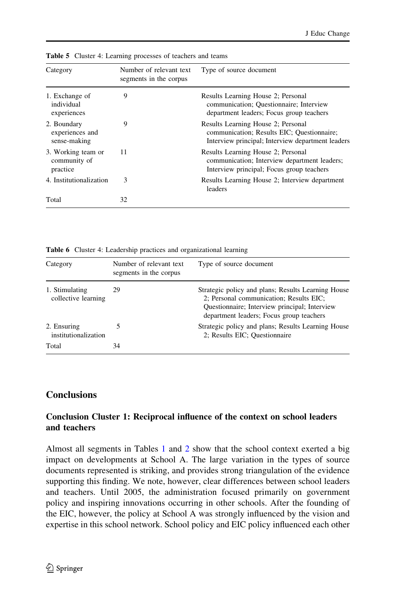| Category                                       | Number of relevant text<br>segments in the corpus | Type of source document                                                                                                               |
|------------------------------------------------|---------------------------------------------------|---------------------------------------------------------------------------------------------------------------------------------------|
| 1. Exchange of<br>individual<br>experiences    | 9                                                 | Results Learning House 2; Personal<br>communication; Questionnaire; Interview<br>department leaders; Focus group teachers             |
| 2. Boundary<br>experiences and<br>sense-making | 9                                                 | Results Learning House 2; Personal<br>communication; Results EIC; Questionnaire;<br>Interview principal; Interview department leaders |
| 3. Working team or<br>community of<br>practice | 11                                                | Results Learning House 2; Personal<br>communication; Interview department leaders;<br>Interview principal; Focus group teachers       |
| 4. Institutionalization                        | 3                                                 | Results Learning House 2; Interview department<br>leaders                                                                             |
| Total                                          | 32                                                |                                                                                                                                       |

<span id="page-11-0"></span>Table 5 Cluster 4: Learning processes of teachers and teams

Table 6 Cluster 4: Leadership practices and organizational learning

| Category                              | Number of relevant text<br>segments in the corpus | Type of source document                                                                                                                                                                    |
|---------------------------------------|---------------------------------------------------|--------------------------------------------------------------------------------------------------------------------------------------------------------------------------------------------|
| 1. Stimulating<br>collective learning | 29                                                | Strategic policy and plans; Results Learning House<br>2; Personal communication; Results EIC;<br>Questionnaire; Interview principal; Interview<br>department leaders; Focus group teachers |
| 2. Ensuring<br>institutionalization   |                                                   | Strategic policy and plans; Results Learning House<br>2; Results EIC; Questionnaire                                                                                                        |
| Total                                 | 34                                                |                                                                                                                                                                                            |

# **Conclusions**

# Conclusion Cluster 1: Reciprocal influence of the context on school leaders and teachers

Almost all segments in Tables [1](#page-8-0) and [2](#page-9-0) show that the school context exerted a big impact on developments at School A. The large variation in the types of source documents represented is striking, and provides strong triangulation of the evidence supporting this finding. We note, however, clear differences between school leaders and teachers. Until 2005, the administration focused primarily on government policy and inspiring innovations occurring in other schools. After the founding of the EIC, however, the policy at School A was strongly influenced by the vision and expertise in this school network. School policy and EIC policy influenced each other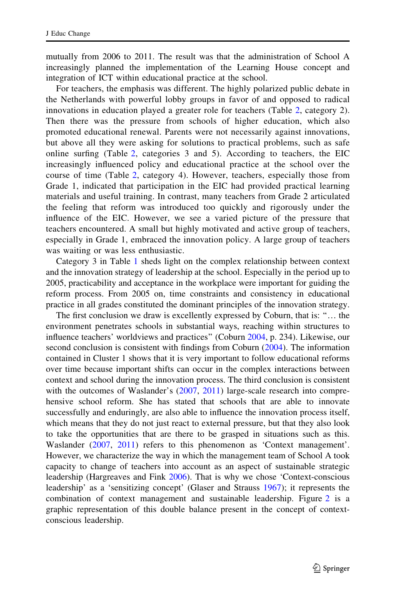mutually from 2006 to 2011. The result was that the administration of School A increasingly planned the implementation of the Learning House concept and integration of ICT within educational practice at the school.

For teachers, the emphasis was different. The highly polarized public debate in the Netherlands with powerful lobby groups in favor of and opposed to radical innovations in education played a greater role for teachers (Table [2,](#page-9-0) category 2). Then there was the pressure from schools of higher education, which also promoted educational renewal. Parents were not necessarily against innovations, but above all they were asking for solutions to practical problems, such as safe online surfing (Table [2](#page-9-0), categories 3 and 5). According to teachers, the EIC increasingly influenced policy and educational practice at the school over the course of time (Table [2,](#page-9-0) category 4). However, teachers, especially those from Grade 1, indicated that participation in the EIC had provided practical learning materials and useful training. In contrast, many teachers from Grade 2 articulated the feeling that reform was introduced too quickly and rigorously under the influence of the EIC. However, we see a varied picture of the pressure that teachers encountered. A small but highly motivated and active group of teachers, especially in Grade 1, embraced the innovation policy. A large group of teachers was waiting or was less enthusiastic.

Category 3 in Table [1](#page-8-0) sheds light on the complex relationship between context and the innovation strategy of leadership at the school. Especially in the period up to 2005, practicability and acceptance in the workplace were important for guiding the reform process. From 2005 on, time constraints and consistency in educational practice in all grades constituted the dominant principles of the innovation strategy.

The first conclusion we draw is excellently expressed by Coburn, that is: ''… the environment penetrates schools in substantial ways, reaching within structures to influence teachers' worldviews and practices'' (Coburn [2004,](#page-23-0) p. 234). Likewise, our second conclusion is consistent with findings from Coburn ([2004\)](#page-23-0). The information contained in Cluster 1 shows that it is very important to follow educational reforms over time because important shifts can occur in the complex interactions between context and school during the innovation process. The third conclusion is consistent with the outcomes of Waslander's ([2007,](#page-25-0) [2011\)](#page-26-0) large-scale research into comprehensive school reform. She has stated that schools that are able to innovate successfully and enduringly, are also able to influence the innovation process itself, which means that they do not just react to external pressure, but that they also look to take the opportunities that are there to be grasped in situations such as this. Waslander ([2007,](#page-25-0) [2011](#page-26-0)) refers to this phenomenon as 'Context management'. However, we characterize the way in which the management team of School A took capacity to change of teachers into account as an aspect of sustainable strategic leadership (Hargreaves and Fink [2006](#page-24-0)). That is why we chose 'Context-conscious leadership' as a 'sensitizing concept' (Glaser and Strauss [1967](#page-24-0)); it represents the combination of context management and sustainable leadership. Figure [2](#page-13-0) is a graphic representation of this double balance present in the concept of contextconscious leadership.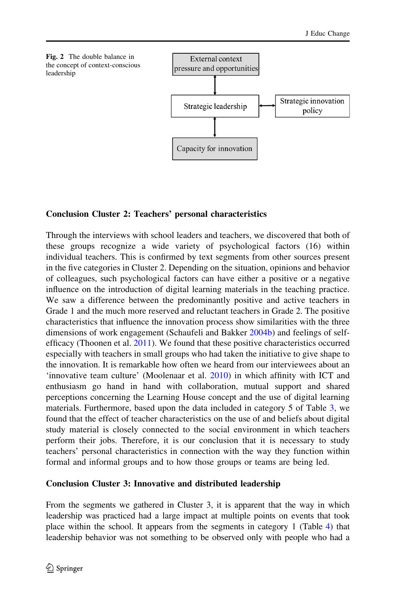<span id="page-13-0"></span>

# Conclusion Cluster 2: Teachers' personal characteristics

Through the interviews with school leaders and teachers, we discovered that both of these groups recognize a wide variety of psychological factors (16) within individual teachers. This is confirmed by text segments from other sources present in the five categories in Cluster 2. Depending on the situation, opinions and behavior of colleagues, such psychological factors can have either a positive or a negative influence on the introduction of digital learning materials in the teaching practice. We saw a difference between the predominantly positive and active teachers in Grade 1 and the much more reserved and reluctant teachers in Grade 2. The positive characteristics that influence the innovation process show similarities with the three dimensions of work engagement (Schaufeli and Bakker [2004b](#page-25-0)) and feelings of selfefficacy (Thoonen et al. [2011](#page-25-0)). We found that these positive characteristics occurred especially with teachers in small groups who had taken the initiative to give shape to the innovation. It is remarkable how often we heard from our interviewees about an 'innovative team culture' (Moolenaar et al. [2010](#page-24-0)) in which affinity with ICT and enthusiasm go hand in hand with collaboration, mutual support and shared perceptions concerning the Learning House concept and the use of digital learning materials. Furthermore, based upon the data included in category 5 of Table [3,](#page-10-0) we found that the effect of teacher characteristics on the use of and beliefs about digital study material is closely connected to the social environment in which teachers perform their jobs. Therefore, it is our conclusion that it is necessary to study teachers' personal characteristics in connection with the way they function within formal and informal groups and to how those groups or teams are being led.

# Conclusion Cluster 3: Innovative and distributed leadership

From the segments we gathered in Cluster 3, it is apparent that the way in which leadership was practiced had a large impact at multiple points on events that took place within the school. It appears from the segments in category 1 (Table [4](#page-10-0)) that leadership behavior was not something to be observed only with people who had a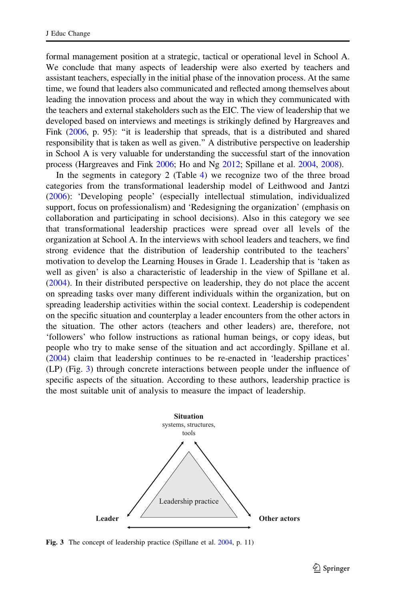<span id="page-14-0"></span>formal management position at a strategic, tactical or operational level in School A. We conclude that many aspects of leadership were also exerted by teachers and assistant teachers, especially in the initial phase of the innovation process. At the same time, we found that leaders also communicated and reflected among themselves about leading the innovation process and about the way in which they communicated with the teachers and external stakeholders such as the EIC. The view of leadership that we developed based on interviews and meetings is strikingly defined by Hargreaves and Fink [\(2006](#page-24-0), p. 95): "it is leadership that spreads, that is a distributed and shared responsibility that is taken as well as given.'' A distributive perspective on leadership in School A is very valuable for understanding the successful start of the innovation process (Hargreaves and Fink [2006;](#page-24-0) Ho and Ng [2012;](#page-24-0) Spillane et al. [2004,](#page-25-0) [2008](#page-25-0)).

In the segments in category 2 (Table [4\)](#page-10-0) we recognize two of the three broad categories from the transformational leadership model of Leithwood and Jantzi [\(2006](#page-24-0)): 'Developing people' (especially intellectual stimulation, individualized support, focus on professionalism) and 'Redesigning the organization' (emphasis on collaboration and participating in school decisions). Also in this category we see that transformational leadership practices were spread over all levels of the organization at School A. In the interviews with school leaders and teachers, we find strong evidence that the distribution of leadership contributed to the teachers' motivation to develop the Learning Houses in Grade 1. Leadership that is 'taken as well as given' is also a characteristic of leadership in the view of Spillane et al. [\(2004](#page-25-0)). In their distributed perspective on leadership, they do not place the accent on spreading tasks over many different individuals within the organization, but on spreading leadership activities within the social context. Leadership is codependent on the specific situation and counterplay a leader encounters from the other actors in the situation. The other actors (teachers and other leaders) are, therefore, not 'followers' who follow instructions as rational human beings, or copy ideas, but people who try to make sense of the situation and act accordingly. Spillane et al. [\(2004](#page-25-0)) claim that leadership continues to be re-enacted in 'leadership practices' (LP) (Fig. 3) through concrete interactions between people under the influence of specific aspects of the situation. According to these authors, leadership practice is the most suitable unit of analysis to measure the impact of leadership.



Fig. 3 The concept of leadership practice (Spillane et al. [2004,](#page-25-0) p. 11)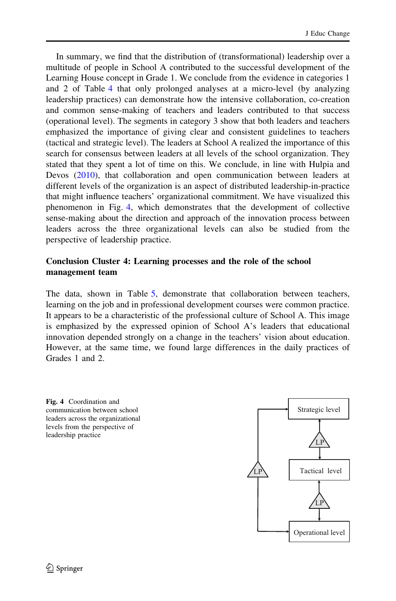<span id="page-15-0"></span>In summary, we find that the distribution of (transformational) leadership over a multitude of people in School A contributed to the successful development of the Learning House concept in Grade 1. We conclude from the evidence in categories 1 and 2 of Table [4](#page-10-0) that only prolonged analyses at a micro-level (by analyzing leadership practices) can demonstrate how the intensive collaboration, co-creation and common sense-making of teachers and leaders contributed to that success (operational level). The segments in category 3 show that both leaders and teachers emphasized the importance of giving clear and consistent guidelines to teachers (tactical and strategic level). The leaders at School A realized the importance of this search for consensus between leaders at all levels of the school organization. They stated that they spent a lot of time on this. We conclude, in line with Hulpia and Devos [\(2010](#page-24-0)), that collaboration and open communication between leaders at different levels of the organization is an aspect of distributed leadership-in-practice that might influence teachers' organizational commitment. We have visualized this phenomenon in Fig. 4, which demonstrates that the development of collective sense-making about the direction and approach of the innovation process between leaders across the three organizational levels can also be studied from the perspective of leadership practice.

# Conclusion Cluster 4: Learning processes and the role of the school management team

The data, shown in Table [5,](#page-11-0) demonstrate that collaboration between teachers, learning on the job and in professional development courses were common practice. It appears to be a characteristic of the professional culture of School A. This image is emphasized by the expressed opinion of School A's leaders that educational innovation depended strongly on a change in the teachers' vision about education. However, at the same time, we found large differences in the daily practices of Grades 1 and 2.



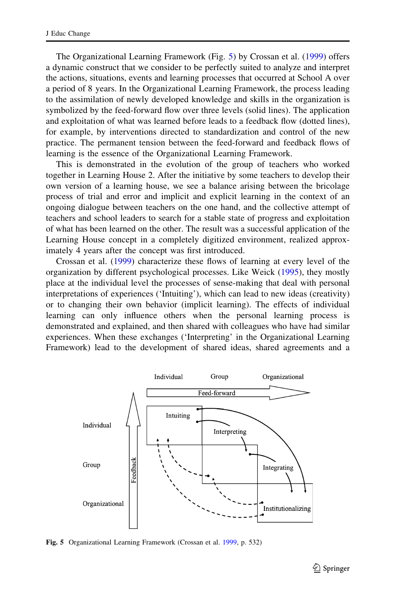<span id="page-16-0"></span>The Organizational Learning Framework (Fig. 5) by Crossan et al. ([1999\)](#page-23-0) offers a dynamic construct that we consider to be perfectly suited to analyze and interpret the actions, situations, events and learning processes that occurred at School A over a period of 8 years. In the Organizational Learning Framework, the process leading to the assimilation of newly developed knowledge and skills in the organization is symbolized by the feed-forward flow over three levels (solid lines). The application and exploitation of what was learned before leads to a feedback flow (dotted lines), for example, by interventions directed to standardization and control of the new practice. The permanent tension between the feed-forward and feedback flows of learning is the essence of the Organizational Learning Framework.

This is demonstrated in the evolution of the group of teachers who worked together in Learning House 2. After the initiative by some teachers to develop their own version of a learning house, we see a balance arising between the bricolage process of trial and error and implicit and explicit learning in the context of an ongoing dialogue between teachers on the one hand, and the collective attempt of teachers and school leaders to search for a stable state of progress and exploitation of what has been learned on the other. The result was a successful application of the Learning House concept in a completely digitized environment, realized approximately 4 years after the concept was first introduced.

Crossan et al. [\(1999](#page-23-0)) characterize these flows of learning at every level of the organization by different psychological processes. Like Weick ([1995\)](#page-26-0), they mostly place at the individual level the processes of sense-making that deal with personal interpretations of experiences ('Intuiting'), which can lead to new ideas (creativity) or to changing their own behavior (implicit learning). The effects of individual learning can only influence others when the personal learning process is demonstrated and explained, and then shared with colleagues who have had similar experiences. When these exchanges ('Interpreting' in the Organizational Learning Framework) lead to the development of shared ideas, shared agreements and a



Fig. 5 Organizational Learning Framework (Crossan et al. [1999,](#page-23-0) p. 532)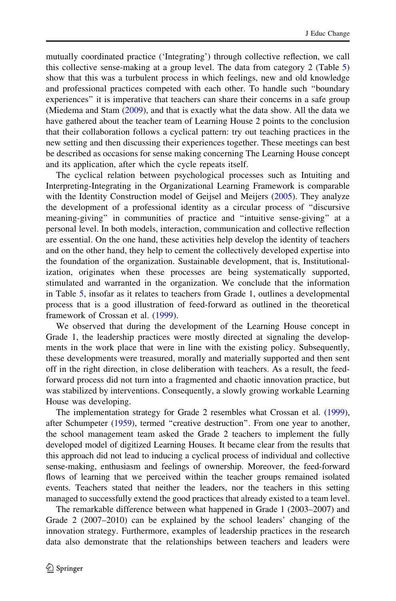mutually coordinated practice ('Integrating') through collective reflection, we call this collective sense-making at a group level. The data from category 2 (Table [5](#page-11-0)) show that this was a turbulent process in which feelings, new and old knowledge and professional practices competed with each other. To handle such ''boundary experiences'' it is imperative that teachers can share their concerns in a safe group (Miedema and Stam ([2009\)](#page-24-0), and that is exactly what the data show. All the data we have gathered about the teacher team of Learning House 2 points to the conclusion that their collaboration follows a cyclical pattern: try out teaching practices in the new setting and then discussing their experiences together. These meetings can best be described as occasions for sense making concerning The Learning House concept and its application, after which the cycle repeats itself.

The cyclical relation between psychological processes such as Intuiting and Interpreting-Integrating in the Organizational Learning Framework is comparable with the Identity Construction model of Geijsel and Meijers ([2005\)](#page-23-0). They analyze the development of a professional identity as a circular process of ''discursive meaning-giving'' in communities of practice and ''intuitive sense-giving'' at a personal level. In both models, interaction, communication and collective reflection are essential. On the one hand, these activities help develop the identity of teachers and on the other hand, they help to cement the collectively developed expertise into the foundation of the organization. Sustainable development, that is, Institutionalization, originates when these processes are being systematically supported, stimulated and warranted in the organization. We conclude that the information in Table [5](#page-11-0), insofar as it relates to teachers from Grade 1, outlines a developmental process that is a good illustration of feed-forward as outlined in the theoretical framework of Crossan et al. [\(1999](#page-23-0)).

We observed that during the development of the Learning House concept in Grade 1, the leadership practices were mostly directed at signaling the developments in the work place that were in line with the existing policy. Subsequently, these developments were treasured, morally and materially supported and then sent off in the right direction, in close deliberation with teachers. As a result, the feedforward process did not turn into a fragmented and chaotic innovation practice, but was stabilized by interventions. Consequently, a slowly growing workable Learning House was developing.

The implementation strategy for Grade 2 resembles what Crossan et al. [\(1999\)](#page-23-0), after Schumpeter ([1959](#page-25-0)), termed ''creative destruction''. From one year to another, the school management team asked the Grade 2 teachers to implement the fully developed model of digitized Learning Houses. It became clear from the results that this approach did not lead to inducing a cyclical process of individual and collective sense-making, enthusiasm and feelings of ownership. Moreover, the feed-forward flows of learning that we perceived within the teacher groups remained isolated events. Teachers stated that neither the leaders, nor the teachers in this setting managed to successfully extend the good practices that already existed to a team level.

The remarkable difference between what happened in Grade 1 (2003–2007) and Grade 2 (2007–2010) can be explained by the school leaders' changing of the innovation strategy. Furthermore, examples of leadership practices in the research data also demonstrate that the relationships between teachers and leaders were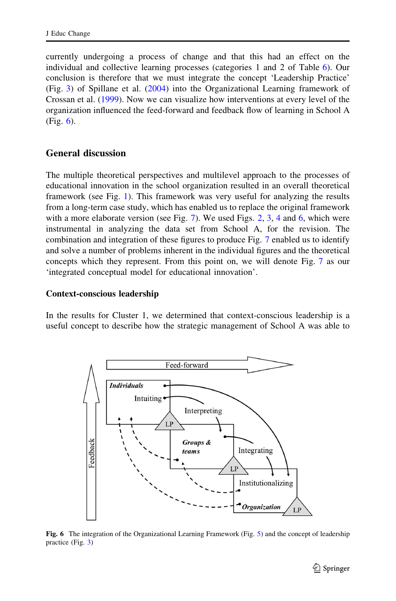<span id="page-18-0"></span>currently undergoing a process of change and that this had an effect on the individual and collective learning processes (categories 1 and 2 of Table [6](#page-11-0)). Our conclusion is therefore that we must integrate the concept 'Leadership Practice' (Fig. [3](#page-14-0)) of Spillane et al. [\(2004](#page-25-0)) into the Organizational Learning framework of Crossan et al. ([1999\)](#page-23-0). Now we can visualize how interventions at every level of the organization influenced the feed-forward and feedback flow of learning in School A (Fig. 6).

#### General discussion

The multiple theoretical perspectives and multilevel approach to the processes of educational innovation in the school organization resulted in an overall theoretical framework (see Fig. [1](#page-4-0)). This framework was very useful for analyzing the results from a long-term case study, which has enabled us to replace the original framework with a more elaborate version (see Fig. [7\)](#page-19-0). We used Figs. [2](#page-13-0), [3](#page-14-0), [4](#page-15-0) and 6, which were instrumental in analyzing the data set from School A, for the revision. The combination and integration of these figures to produce Fig. [7](#page-19-0) enabled us to identify and solve a number of problems inherent in the individual figures and the theoretical concepts which they represent. From this point on, we will denote Fig. [7](#page-19-0) as our 'integrated conceptual model for educational innovation'.

#### Context-conscious leadership

In the results for Cluster 1, we determined that context-conscious leadership is a useful concept to describe how the strategic management of School A was able to



Fig. 6 The integration of the Organizational Learning Framework (Fig. [5](#page-16-0)) and the concept of leadership practice (Fig. [3\)](#page-14-0)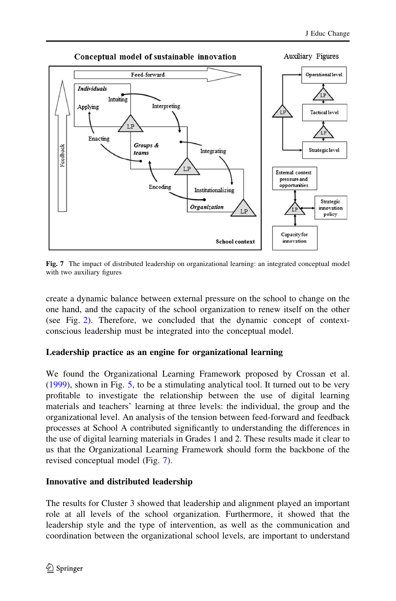<span id="page-19-0"></span>

Fig. 7 The impact of distributed leadership on organizational learning: an integrated conceptual model with two auxiliary figures

create a dynamic balance between external pressure on the school to change on the one hand, and the capacity of the school organization to renew itself on the other (see Fig. [2](#page-13-0)). Therefore, we concluded that the dynamic concept of contextconscious leadership must be integrated into the conceptual model.

# Leadership practice as an engine for organizational learning

We found the Organizational Learning Framework proposed by Crossan et al. [\(1999](#page-23-0)), shown in Fig. [5,](#page-16-0) to be a stimulating analytical tool. It turned out to be very profitable to investigate the relationship between the use of digital learning materials and teachers' learning at three levels: the individual, the group and the organizational level. An analysis of the tension between feed-forward and feedback processes at School A contributed significantly to understanding the differences in the use of digital learning materials in Grades 1 and 2. These results made it clear to us that the Organizational Learning Framework should form the backbone of the revised conceptual model (Fig. 7).

# Innovative and distributed leadership

The results for Cluster 3 showed that leadership and alignment played an important role at all levels of the school organization. Furthermore, it showed that the leadership style and the type of intervention, as well as the communication and coordination between the organizational school levels, are important to understand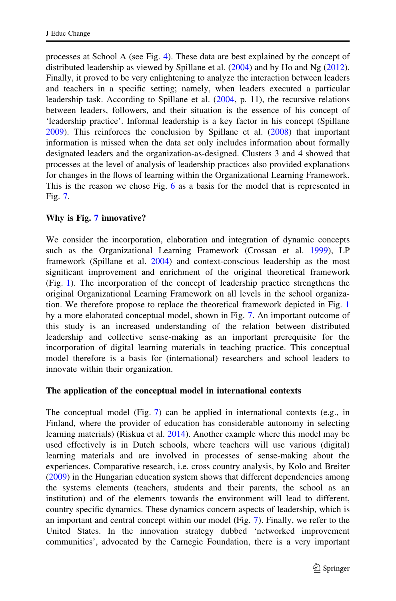processes at School A (see Fig. [4](#page-15-0)). These data are best explained by the concept of distributed leadership as viewed by Spillane et al. ([2004\)](#page-25-0) and by Ho and Ng ([2012\)](#page-24-0). Finally, it proved to be very enlightening to analyze the interaction between leaders and teachers in a specific setting; namely, when leaders executed a particular leadership task. According to Spillane et al. [\(2004](#page-25-0), p. 11), the recursive relations between leaders, followers, and their situation is the essence of his concept of 'leadership practice'. Informal leadership is a key factor in his concept (Spillane [2009\)](#page-25-0). This reinforces the conclusion by Spillane et al. ([2008](#page-25-0)) that important information is missed when the data set only includes information about formally designated leaders and the organization-as-designed. Clusters 3 and 4 showed that processes at the level of analysis of leadership practices also provided explanations for changes in the flows of learning within the Organizational Learning Framework. This is the reason we chose Fig. [6](#page-18-0) as a basis for the model that is represented in Fig. [7](#page-19-0).

# Why is Fig. [7](#page-19-0) innovative?

We consider the incorporation, elaboration and integration of dynamic concepts such as the Organizational Learning Framework (Crossan et al. [1999](#page-23-0)), LP framework (Spillane et al. [2004\)](#page-25-0) and context-conscious leadership as the most significant improvement and enrichment of the original theoretical framework (Fig. [1](#page-4-0)). The incorporation of the concept of leadership practice strengthens the original Organizational Learning Framework on all levels in the school organization. We therefore propose to replace the theoretical framework depicted in Fig. [1](#page-4-0) by a more elaborated conceptual model, shown in Fig. [7](#page-19-0). An important outcome of this study is an increased understanding of the relation between distributed leadership and collective sense-making as an important prerequisite for the incorporation of digital learning materials in teaching practice. This conceptual model therefore is a basis for (international) researchers and school leaders to innovate within their organization.

# The application of the conceptual model in international contexts

The conceptual model (Fig. [7](#page-19-0)) can be applied in international contexts (e.g., in Finland, where the provider of education has considerable autonomy in selecting learning materials) (Riskua et al. [2014\)](#page-24-0). Another example where this model may be used effectively is in Dutch schools, where teachers will use various (digital) learning materials and are involved in processes of sense-making about the experiences. Comparative research, i.e. cross country analysis, by Kolo and Breiter [\(2009](#page-24-0)) in the Hungarian education system shows that different dependencies among the systems elements (teachers, students and their parents, the school as an institution) and of the elements towards the environment will lead to different, country specific dynamics. These dynamics concern aspects of leadership, which is an important and central concept within our model (Fig. [7\)](#page-19-0). Finally, we refer to the United States. In the innovation strategy dubbed 'networked improvement communities', advocated by the Carnegie Foundation, there is a very important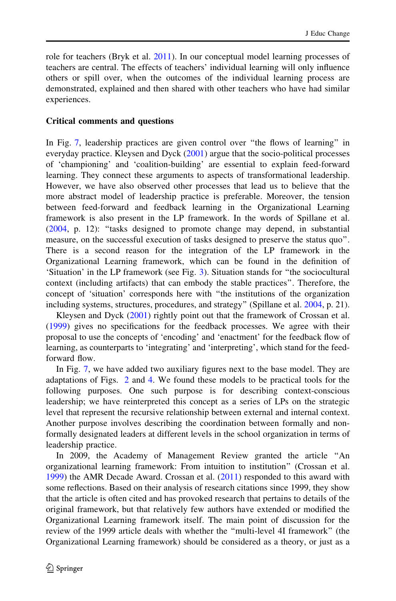role for teachers (Bryk et al. [2011\)](#page-23-0). In our conceptual model learning processes of teachers are central. The effects of teachers' individual learning will only influence others or spill over, when the outcomes of the individual learning process are demonstrated, explained and then shared with other teachers who have had similar experiences.

#### Critical comments and questions

In Fig. [7,](#page-19-0) leadership practices are given control over ''the flows of learning'' in everyday practice. Kleysen and Dyck [\(2001\)](#page-24-0) argue that the socio-political processes of 'championing' and 'coalition-building' are essential to explain feed-forward learning. They connect these arguments to aspects of transformational leadership. However, we have also observed other processes that lead us to believe that the more abstract model of leadership practice is preferable. Moreover, the tension between feed-forward and feedback learning in the Organizational Learning framework is also present in the LP framework. In the words of Spillane et al. [\(2004](#page-25-0), p. 12): ''tasks designed to promote change may depend, in substantial measure, on the successful execution of tasks designed to preserve the status quo''. There is a second reason for the integration of the LP framework in the Organizational Learning framework, which can be found in the definition of 'Situation' in the LP framework (see Fig. [3](#page-14-0)). Situation stands for ''the sociocultural context (including artifacts) that can embody the stable practices''. Therefore, the concept of 'situation' corresponds here with ''the institutions of the organization including systems, structures, procedures, and strategy" (Spillane et al. [2004,](#page-25-0) p. 21).

Kleysen and Dyck [\(2001](#page-24-0)) rightly point out that the framework of Crossan et al. [\(1999](#page-23-0)) gives no specifications for the feedback processes. We agree with their proposal to use the concepts of 'encoding' and 'enactment' for the feedback flow of learning, as counterparts to 'integrating' and 'interpreting', which stand for the feedforward flow.

In Fig. [7,](#page-19-0) we have added two auxiliary figures next to the base model. They are adaptations of Figs. [2](#page-13-0) and [4.](#page-15-0) We found these models to be practical tools for the following purposes. One such purpose is for describing context-conscious leadership; we have reinterpreted this concept as a series of LPs on the strategic level that represent the recursive relationship between external and internal context. Another purpose involves describing the coordination between formally and nonformally designated leaders at different levels in the school organization in terms of leadership practice.

In 2009, the Academy of Management Review granted the article ''An organizational learning framework: From intuition to institution'' (Crossan et al. [1999\)](#page-23-0) the AMR Decade Award. Crossan et al. ([2011\)](#page-23-0) responded to this award with some reflections. Based on their analysis of research citations since 1999, they show that the article is often cited and has provoked research that pertains to details of the original framework, but that relatively few authors have extended or modified the Organizational Learning framework itself. The main point of discussion for the review of the 1999 article deals with whether the ''multi-level 4I framework'' (the Organizational Learning framework) should be considered as a theory, or just as a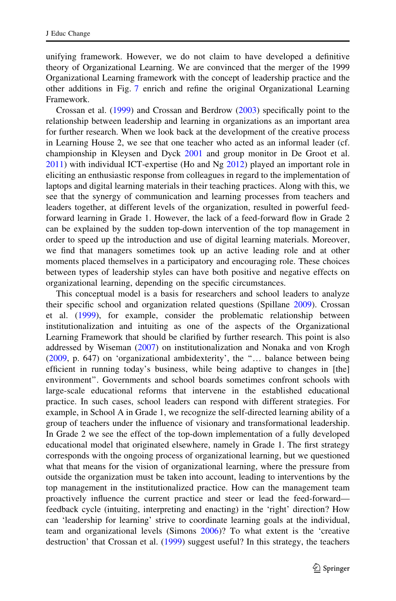unifying framework. However, we do not claim to have developed a definitive theory of Organizational Learning. We are convinced that the merger of the 1999 Organizational Learning framework with the concept of leadership practice and the other additions in Fig. [7](#page-19-0) enrich and refine the original Organizational Learning Framework.

Crossan et al. [\(1999](#page-23-0)) and Crossan and Berdrow ([2003\)](#page-23-0) specifically point to the relationship between leadership and learning in organizations as an important area for further research. When we look back at the development of the creative process in Learning House 2, we see that one teacher who acted as an informal leader (cf. championship in Kleysen and Dyck [2001](#page-24-0) and group monitor in De Groot et al. [2011\)](#page-23-0) with individual ICT-expertise (Ho and Ng [2012](#page-24-0)) played an important role in eliciting an enthusiastic response from colleagues in regard to the implementation of laptops and digital learning materials in their teaching practices. Along with this, we see that the synergy of communication and learning processes from teachers and leaders together, at different levels of the organization, resulted in powerful feedforward learning in Grade 1. However, the lack of a feed-forward flow in Grade 2 can be explained by the sudden top-down intervention of the top management in order to speed up the introduction and use of digital learning materials. Moreover, we find that managers sometimes took up an active leading role and at other moments placed themselves in a participatory and encouraging role. These choices between types of leadership styles can have both positive and negative effects on organizational learning, depending on the specific circumstances.

This conceptual model is a basis for researchers and school leaders to analyze their specific school and organization related questions (Spillane [2009](#page-25-0)). Crossan et al. ([1999\)](#page-23-0), for example, consider the problematic relationship between institutionalization and intuiting as one of the aspects of the Organizational Learning Framework that should be clarified by further research. This point is also addressed by Wiseman ([2007\)](#page-26-0) on institutionalization and Nonaka and von Krogh [\(2009](#page-24-0), p. 647) on 'organizational ambidexterity', the ''… balance between being efficient in running today's business, while being adaptive to changes in [the] environment''. Governments and school boards sometimes confront schools with large-scale educational reforms that intervene in the established educational practice. In such cases, school leaders can respond with different strategies. For example, in School A in Grade 1, we recognize the self-directed learning ability of a group of teachers under the influence of visionary and transformational leadership. In Grade 2 we see the effect of the top-down implementation of a fully developed educational model that originated elsewhere, namely in Grade 1. The first strategy corresponds with the ongoing process of organizational learning, but we questioned what that means for the vision of organizational learning, where the pressure from outside the organization must be taken into account, leading to interventions by the top management in the institutionalized practice. How can the management team proactively influence the current practice and steer or lead the feed-forward feedback cycle (intuiting, interpreting and enacting) in the 'right' direction? How can 'leadership for learning' strive to coordinate learning goals at the individual, team and organizational levels (Simons [2006\)](#page-25-0)? To what extent is the 'creative destruction' that Crossan et al. [\(1999](#page-23-0)) suggest useful? In this strategy, the teachers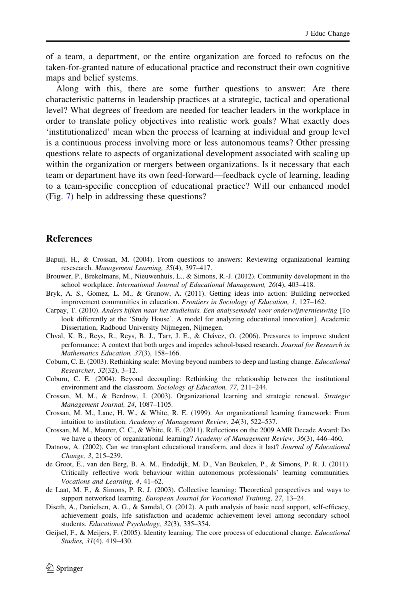<span id="page-23-0"></span>of a team, a department, or the entire organization are forced to refocus on the taken-for-granted nature of educational practice and reconstruct their own cognitive maps and belief systems.

Along with this, there are some further questions to answer: Are there characteristic patterns in leadership practices at a strategic, tactical and operational level? What degrees of freedom are needed for teacher leaders in the workplace in order to translate policy objectives into realistic work goals? What exactly does 'institutionalized' mean when the process of learning at individual and group level is a continuous process involving more or less autonomous teams? Other pressing questions relate to aspects of organizational development associated with scaling up within the organization or mergers between organizations. Is it necessary that each team or department have its own feed-forward—feedback cycle of learning, leading to a team-specific conception of educational practice? Will our enhanced model (Fig. [7](#page-19-0)) help in addressing these questions?

#### References

- Bapuij, H., & Crossan, M. (2004). From questions to answers: Reviewing organizational learning resesearch. Management Learning, 35(4), 397–417.
- Brouwer, P., Brekelmans, M., Nieuwenhuis, L., & Simons, R.-J. (2012). Community development in the school workplace. International Journal of Educational Management, 26(4), 403–418.
- Bryk, A. S., Gomez, L. M., & Grunow, A. (2011). Getting ideas into action: Building networked improvement communities in education. Frontiers in Sociology of Education, 1, 127–162.
- Carpay, T. (2010). Anders kijken naar het studiehuis. Een analysemodel voor onderwijsvernieuwing [To look differently at the 'Study House'. A model for analyzing educational innovation]. Academic Dissertation, Radboud University Nijmegen, Nijmegen.
- Chval, K. B., Reys, R., Reys, B. J., Tarr, J. E., & Cha´vez, O. (2006). Pressures to improve student performance: A context that both urges and impedes school-based research. Journal for Research in Mathematics Education, 37(3), 158–166.
- Coburn, C. E. (2003). Rethinking scale: Moving beyond numbers to deep and lasting change. Educational Researcher, 32(32), 3–12.
- Coburn, C. E. (2004). Beyond decoupling: Rethinking the relationship between the institutional environment and the classroom. Sociology of Education, 77, 211–244.
- Crossan, M. M., & Berdrow, I. (2003). Organizational learning and strategic renewal. Strategic Management Journal, 24, 1087–1105.
- Crossan, M. M., Lane, H. W., & White, R. E. (1999). An organizational learning framework: From intuition to institution. Academy of Management Review, 24(3), 522–537.
- Crossan, M. M., Maurer, C. C., & White, R. E. (2011). Reflections on the 2009 AMR Decade Award: Do we have a theory of organizational learning? Academy of Management Review, 36(3), 446–460.
- Datnow, A. (2002). Can we transplant educational transform, and does it last? Journal of Educational Change, 3, 215–239.
- de Groot, E., van den Berg, B. A. M., Endedijk, M. D., Van Beukelen, P., & Simons, P. R. J. (2011). Critically reflective work behaviour within autonomous professionals' learning communities. Vocations and Learning, 4, 41–62.
- de Laat, M. F., & Simons, P. R. J. (2003). Collective learning: Theoretical perspectives and ways to support networked learning. European Journal for Vocational Training, 27, 13–24.
- Diseth, A., Danielsen, A. G., & Samdal, O. (2012). A path analysis of basic need support, self-efficacy, achievement goals, life satisfaction and academic achievement level among secondary school students. Educational Psychology, 32(3), 335–354.
- Geijsel, F., & Meijers, F. (2005). Identity learning: The core process of educational change. *Educational* Studies, 31(4), 419–430.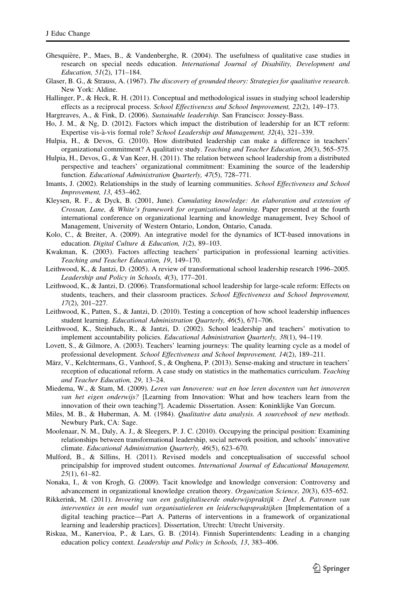- <span id="page-24-0"></span>Ghesquière, P., Maes, B., & Vandenberghe, R. (2004). The usefulness of qualitative case studies in research on special needs education. International Journal of Disability, Development and Education, 51(2), 171–184.
- Glaser, B. G., & Strauss, A. (1967). The discovery of grounded theory: Strategies for qualitative research. New York: Aldine.
- Hallinger, P., & Heck, R. H. (2011). Conceptual and methodological issues in studying school leadership effects as a reciprocal process. School Effectiveness and School Improvement, 22(2), 149–173.

Hargreaves, A., & Fink, D. (2006). Sustainable leadership. San Francisco: Jossey-Bass.

- Ho, J. M., & Ng, D. (2012). Factors which impact the distribution of leadership for an ICT reform: Expertise vis-a`-vis formal role? School Leadership and Management, 32(4), 321–339.
- Hulpia, H., & Devos, G. (2010). How distributed leadership can make a difference in teachers' organizational commitment? A qualitative study. Teaching and Teacher Education, 26(3), 565–575.
- Hulpia, H., Devos, G., & Van Keer, H. (2011). The relation between school leadership from a distributed perspective and teachers' organizational commitment: Examining the source of the leadership function. Educational Administration Quarterly, 47(5), 728–771.
- Imants, J. (2002). Relationships in the study of learning communities. School Effectiveness and School Improvement, 13, 453–462.
- Kleysen, R. F., & Dyck, B. (2001, June). Cumulating knowledge: An elaboration and extension of Crossan, Lane, & White's framework for organizational learning. Paper presented at the fourth international conference on organizational learning and knowledge management, Ivey School of Management, University of Western Ontario, London, Ontario, Canada.
- Kolo, C., & Breiter, A. (2009). An integrative model for the dynamics of ICT-based innovations in education. Digital Culture & Education, 1(2), 89–103.
- Kwakman, K. (2003). Factors affecting teachers' participation in professional learning activities. Teaching and Teacher Education, 19, 149–170.
- Leithwood, K., & Jantzi, D. (2005). A review of transformational school leadership research 1996–2005. Leadership and Policy in Schools, 4(3), 177–201.
- Leithwood, K., & Jantzi, D. (2006). Transformational school leadership for large-scale reform: Effects on students, teachers, and their classroom practices. School Effectiveness and School Improvement, 17(2), 201–227.
- Leithwood, K., Patten, S., & Jantzi, D. (2010). Testing a conception of how school leadership influences student learning. Educational Administration Quarterly, 46(5), 671–706.
- Leithwood, K., Steinbach, R., & Jantzi, D. (2002). School leadership and teachers' motivation to implement accountability policies. Educational Administration Quarterly, 38(1), 94–119.
- Lovett, S., & Gilmore, A. (2003). Teachers' learning journeys: The quality learning cycle as a model of professional development. School Effectiveness and School Improvement, 14(2), 189–211.
- März, V., Kelchtermans, G., Vanhoof, S., & Onghena, P. (2013). Sense-making and structure in teachers' reception of educational reform. A case study on statistics in the mathematics curriculum. Teaching and Teacher Education, 29, 13–24.
- Miedema, W., & Stam, M. (2009). Leren van Innoveren: wat en hoe leren docenten van het innoveren van het eigen onderwijs? [Learning from Innovation: What and how teachers learn from the innovation of their own teaching?]. Academic Dissertation. Assen: Koninklijke Van Gorcum.
- Miles, M. B., & Huberman, A. M. (1984). Qualitative data analysis. A sourcebook of new methods. Newbury Park, CA: Sage.
- Moolenaar, N. M., Daly, A. J., & Sleegers, P. J. C. (2010). Occupying the principal position: Examining relationships between transformational leadership, social network position, and schools' innovative climate. Educational Administration Quarterly, 46(5), 623–670.
- Mulford, B., & Sillins, H. (2011). Revised models and conceptualisation of successful school principalship for improved student outcomes. International Journal of Educational Management, 25(1), 61–82.
- Nonaka, I., & von Krogh, G. (2009). Tacit knowledge and knowledge conversion: Controversy and advancement in organizational knowledge creation theory. Organization Science, 20(3), 635–652.
- Rikkerink, M. (2011). Invoering van een gedigitaliseerde onderwijspraktijk Deel A. Patronen van interventies in een model van organisatieleren en leiderschapspraktijken [Implementation of a digital teaching practice—Part A. Patterns of interventions in a framework of organizational learning and leadership practices]. Dissertation, Utrecht: Utrecht University.
- Riskua, M., Kanervioa, P., & Lars, G. B. (2014). Finnish Superintendents: Leading in a changing education policy context. Leadership and Policy in Schools, 13, 383–406.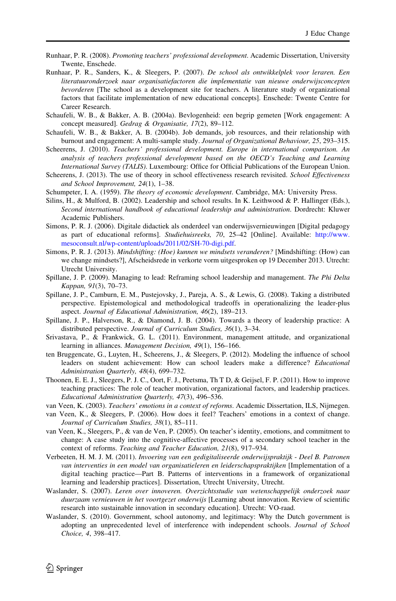- <span id="page-25-0"></span>Runhaar, P. R. (2008). Promoting teachers' professional development. Academic Dissertation, University Twente, Enschede.
- Runhaar, P. R., Sanders, K., & Sleegers, P. (2007). De school als ontwikkelplek voor leraren. Een literatuuronderzoek naar organisatiefactoren die implementatie van nieuwe onderwijsconcepten bevorderen [The school as a development site for teachers. A literature study of organizational factors that facilitate implementation of new educational concepts]. Enschede: Twente Centre for Career Research.
- Schaufeli, W. B., & Bakker, A. B. (2004a). Bevlogenheid: een begrip gemeten [Work engagement: A concept measured]. Gedrag & Organisatie, 17(2), 89–112.
- Schaufeli, W. B., & Bakker, A. B. (2004b). Job demands, job resources, and their relationship with burnout and engagement: A multi-sample study. Journal of Organizational Behaviour, 25, 293–315.
- Scheerens, J. (2010). Teachers' professional development. Europe in international comparison. An analysis of teachers professional development based on the OECD's Teaching and Learning International Survey (TALIS). Luxembourg: Office for Official Publications of the European Union.
- Scheerens, J. (2013). The use of theory in school effectiveness research revisited. School Effectiveness and School Improvement, 24(1), 1–38.
- Schumpeter, I. A. (1959). The theory of economic development. Cambridge, MA: University Press.
- Silins, H., & Mulford, B. (2002). Leadership and school results. In K. Leithwood & P. Hallinger (Eds.), Second international handbook of educational leadership and administration. Dordrecht: Kluwer Academic Publishers.
- Simons, P. R. J. (2006). Digitale didactiek als onderdeel van onderwijsvernieuwingen [Digital pedagogy as part of educational reforms]. Studiehuisreeks, 70, 25–42 [Online]. Available: [http://www.](http://www.mesoconsult.nl/wp-content/uploads/2011/02/SH-70-digi.pdf) [mesoconsult.nl/wp-content/uploads/2011/02/SH-70-digi.pdf.](http://www.mesoconsult.nl/wp-content/uploads/2011/02/SH-70-digi.pdf)
- Simons, P. R. J. (2013). Mindshifting: (Hoe) kunnen we mindsets veranderen? [Mindshifting: (How) can we change mindsets?], Afscheidsrede in verkorte vorm uitgesproken op 19 December 2013. Utrecht: Utrecht University.
- Spillane, J. P. (2009). Managing to lead: Reframing school leadership and management. The Phi Delta Kappan, 91(3), 70–73.
- Spillane, J. P., Camburn, E. M., Pustejovsky, J., Pareja, A. S., & Lewis, G. (2008). Taking a distributed perspective. Epistemological and methodological tradeoffs in operationalizing the leader-plus aspect. Journal of Educational Administration, 46(2), 189–213.
- Spillane, J. P., Halverson, R., & Diamond, J. B. (2004). Towards a theory of leadership practice: A distributed perspective. Journal of Curriculum Studies, 36(1), 3–34.
- Srivastava, P., & Frankwick, G. L. (2011). Environment, management attitude, and organizational learning in alliances. Management Decision, 49(1), 156–166.
- ten Bruggencate, G., Luyten, H., Scheerens, J., & Sleegers, P. (2012). Modeling the influence of school leaders on student achievement: How can school leaders make a difference? Educational Administration Quarterly, 48(4), 699–732.
- Thoonen, E. E. J., Sleegers, P. J. C., Oort, F. J., Peetsma, Th T D, & Geijsel, F. P. (2011). How to improve teaching practices: The role of teacher motivation, organizational factors, and leadership practices. Educational Administration Quarterly, 47(3), 496–536.
- van Veen, K. (2003). Teachers' emotions in a context of reforms. Academic Dissertation, ILS, Nijmegen.
- van Veen, K., & Sleegers, P. (2006). How does it feel? Teachers' emotions in a context of change. Journal of Curriculum Studies, 38(1), 85–111.
- van Veen, K., Sleegers, P., & van de Ven, P. (2005). On teacher's identity, emotions, and commitment to change: A case study into the cognitive-affective processes of a secondary school teacher in the context of reforms. Teaching and Teacher Education, 21(8), 917–934.
- Verbeeten, H. M. J. M. (2011). Invoering van een gedigitaliseerde onderwijspraktijk Deel B. Patronen van interventies in een model van organisatieleren en leiderschapspraktijken [Implementation of a digital teaching practice—Part B. Patterns of interventions in a framework of organizational learning and leadership practices]. Dissertation, Utrecht University, Utrecht.
- Waslander, S. (2007). Leren over innoveren. Overzichtsstudie van wetenschappelijk onderzoek naar duurzaam vernieuwen in het voortgezet onderwijs [Learning about innovation. Review of scientific research into sustainable innovation in secondary education]. Utrecht: VO-raad.
- Waslander, S. (2010). Government, school autonomy, and legitimacy: Why the Dutch government is adopting an unprecedented level of interference with independent schools. Journal of School Choice, 4, 398–417.